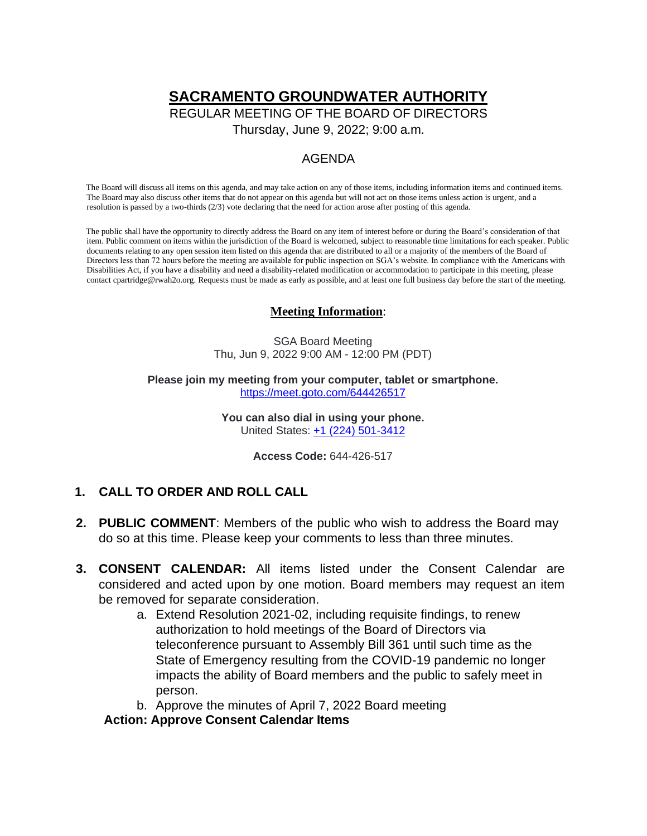# **SACRAMENTO GROUNDWATER AUTHORITY**

REGULAR MEETING OF THE BOARD OF DIRECTORS

Thursday, June 9, 2022; 9:00 a.m.

# AGENDA

The Board will discuss all items on this agenda, and may take action on any of those items, including information items and continued items. The Board may also discuss other items that do not appear on this agenda but will not act on those items unless action is urgent, and a resolution is passed by a two-thirds (2/3) vote declaring that the need for action arose after posting of this agenda.

The public shall have the opportunity to directly address the Board on any item of interest before or during the Board's consideration of that item. Public comment on items within the jurisdiction of the Board is welcomed, subject to reasonable time limitations for each speaker. Public documents relating to any open session item listed on this agenda that are distributed to all or a majority of the members of the Board of Directors less than 72 hours before the meeting are available for public inspection on SGA's website. In compliance with the Americans with Disabilities Act, if you have a disability and need a disability-related modification or accommodation to participate in this meeting, please contact [cpartridge@rwah2o.org. R](mailto:cpartridge@rwah2o.org)equests must be made as early as possible, and at least one full business day before the start of the meeting.

#### **Meeting Information**:

SGA Board Meeting Thu, Jun 9, 2022 9:00 AM - 12:00 PM (PDT)

**Please join my meeting from your computer, tablet or smartphone.** <https://meet.goto.com/644426517>

> **You can also dial in using your phone.** United States: [+1 \(224\) 501-3412](tel:+12245013412,,644426517)

> > **Access Code:** 644-426-517

#### **1. CALL TO ORDER AND ROLL CALL**

- **2. PUBLIC COMMENT**: Members of the public who wish to address the Board may do so at this time. Please keep your comments to less than three minutes.
- **3. CONSENT CALENDAR:** All items listed under the Consent Calendar are considered and acted upon by one motion. Board members may request an item be removed for separate consideration.
	- a. Extend Resolution 2021-02, including requisite findings, to renew authorization to hold meetings of the Board of Directors via teleconference pursuant to Assembly Bill 361 until such time as the State of Emergency resulting from the COVID-19 pandemic no longer impacts the ability of Board members and the public to safely meet in person.
	- b. Approve the minutes of April 7, 2022 Board meeting

**Action: Approve Consent Calendar Items**